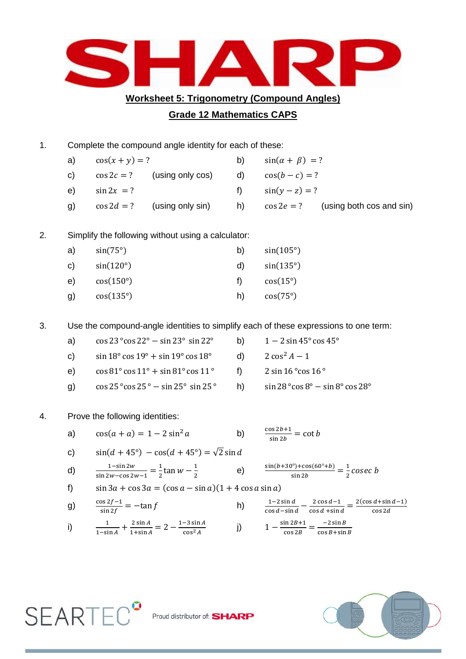

**Worksheet 5: Trigonometry (Compound Angles)**

## **Grade 12 Mathematics CAPS**

| 1. | Complete the compound angle identity for each of these:                              |                                                                     |                                    |    |                                  |                                        |
|----|--------------------------------------------------------------------------------------|---------------------------------------------------------------------|------------------------------------|----|----------------------------------|----------------------------------------|
|    | a)                                                                                   | $\cos(x+y) = ?$                                                     |                                    | b) | $sin(\alpha + \beta) = ?$        |                                        |
|    | $\mathbf{C}$                                                                         |                                                                     | $\cos 2c = ?$ (using only $\cos$ ) | d) | $cos(b - c) = ?$                 |                                        |
|    | e)                                                                                   | $\sin 2x = ?$                                                       |                                    | f) | $sin(y - z) = ?$                 |                                        |
|    | g)                                                                                   |                                                                     | $\cos 2d = ?$ (using only sin)     | h) |                                  | $\cos 2e = ?$ (using both cos and sin) |
| 2. | Simplify the following without using a calculator:                                   |                                                                     |                                    |    |                                  |                                        |
|    | a)                                                                                   | $sin(75^\circ)$                                                     |                                    | b) | $sin(105^\circ)$                 |                                        |
|    | C)                                                                                   | $sin(120^\circ)$<br>$cos(150^\circ)$                                |                                    | d) | $sin(135^\circ)$                 |                                        |
|    | e)                                                                                   |                                                                     |                                    | f) | $cos(15^\circ)$                  |                                        |
|    | g)                                                                                   | $cos(135^\circ)$                                                    |                                    | h) | $cos(75^\circ)$                  |                                        |
| 3. | Use the compound-angle identities to simplify each of these expressions to one term: |                                                                     |                                    |    |                                  |                                        |
|    | a)                                                                                   | $\cos 23^{\circ} \cos 22^{\circ} - \sin 23^{\circ} \sin 22^{\circ}$ |                                    | b) | $1-2\sin 45^\circ \cos 45^\circ$ |                                        |
|    | $\mathsf{c}$                                                                         | $\sin 18^\circ \cos 19^\circ + \sin 19^\circ \cos 18^\circ$         |                                    | d) | $2 \cos^2 A - 1$                 |                                        |
|    | e)                                                                                   | $\cos 81^\circ \cos 11^\circ + \sin 81^\circ \cos 11^\circ$         |                                    | f) | 2 sin $16°$ cos $16°$            |                                        |

- g)  $\cos 25^\circ \cos 25^\circ \sin 25^\circ \sin 25^\circ$  h)  $\sin 28^\circ \cos 8^\circ \sin 8^\circ \cos 28^\circ$
- 4. Prove the following identities:
	- a)  $\cos(a + a) = 1 2\sin^2 a$  $\frac{\sin 2b+1}{\sin 2b} =$
	- c)  $\sin((d + 45^{\circ}) \cos((d + 45^{\circ})) = \sqrt{2} \sin d$

d) 
$$
\frac{1-\sin 2w}{\sin 2w-\cos 2w-1} = \frac{1}{2}\tan w - \frac{1}{2}
$$
 e) 
$$
\frac{\sin(b+30^{\circ})+\cos(60^{\circ}+b)}{\sin 2b} = \frac{1}{2}cosec b
$$

f)  $\sin 3a + \cos 3a = (\cos a - \sin a)(1 + 4 \cos a \sin a)$ 

g) 
$$
\frac{\cos 2f - 1}{\sin 2f} = -\tan f
$$
 h)  $\frac{1}{\cos 2f}$ 

 $\frac{1-2\sin d}{\cos d - \sin d} - \frac{2}{\cos d}$  $\frac{2\cos d-1}{\cos d+\sin d} = \frac{2(\cos d+\sin d-1)}{\cos 2d}$  $\mathbf c$ i)  $\frac{1}{1-\sin A} + \frac{2}{1}$  $\frac{2\sin A}{1+\sin A} = 2 - \frac{1}{2}$  $\frac{-3 \sin A}{\cos^2 A}$  j)  $1 - \frac{s}{A}$  $\frac{\ln 2B + 1}{\cos 2B} = \frac{-1}{\cos 2B}$  $\mathbf{c}$ 



SEARTEC<sup>9</sup> Proud distributor of: SHARP